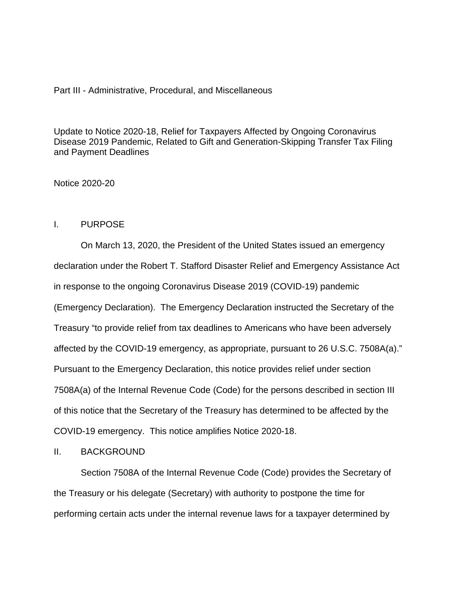### Part III - Administrative, Procedural, and Miscellaneous

Update to Notice 2020-18, Relief for Taxpayers Affected by Ongoing Coronavirus Disease 2019 Pandemic, Related to Gift and Generation-Skipping Transfer Tax Filing and Payment Deadlines

Notice 2020-20

# I. PURPOSE

On March 13, 2020, the President of the United States issued an emergency declaration under the Robert T. Stafford Disaster Relief and Emergency Assistance Act in response to the ongoing Coronavirus Disease 2019 (COVID-19) pandemic (Emergency Declaration). The Emergency Declaration instructed the Secretary of the Treasury "to provide relief from tax deadlines to Americans who have been adversely affected by the COVID-19 emergency, as appropriate, pursuant to 26 U.S.C. 7508A(a)." Pursuant to the Emergency Declaration, this notice provides relief under section 7508A(a) of the Internal Revenue Code (Code) for the persons described in section III of this notice that the Secretary of the Treasury has determined to be affected by the COVID-19 emergency. This notice amplifies Notice 2020-18.

# II. BACKGROUND

Section 7508A of the Internal Revenue Code (Code) provides the Secretary of the Treasury or his delegate (Secretary) with authority to postpone the time for performing certain acts under the internal revenue laws for a taxpayer determined by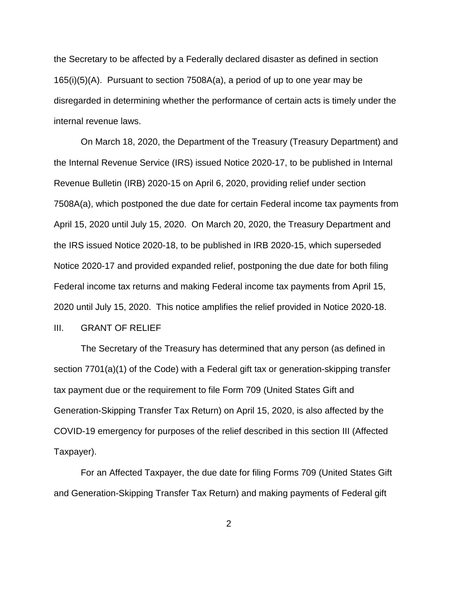the Secretary to be affected by a Federally declared disaster as defined in section 165(i)(5)(A). Pursuant to section 7508A(a), a period of up to one year may be disregarded in determining whether the performance of certain acts is timely under the internal revenue laws.

On March 18, 2020, the Department of the Treasury (Treasury Department) and the Internal Revenue Service (IRS) issued Notice 2020-17, to be published in Internal Revenue Bulletin (IRB) 2020-15 on April 6, 2020, providing relief under section 7508A(a), which postponed the due date for certain Federal income tax payments from April 15, 2020 until July 15, 2020. On March 20, 2020, the Treasury Department and the IRS issued Notice 2020-18, to be published in IRB 2020-15, which superseded Notice 2020-17 and provided expanded relief, postponing the due date for both filing Federal income tax returns and making Federal income tax payments from April 15, 2020 until July 15, 2020. This notice amplifies the relief provided in Notice 2020-18. III. GRANT OF RELIEF

The Secretary of the Treasury has determined that any person (as defined in section 7701(a)(1) of the Code) with a Federal gift tax or generation-skipping transfer tax payment due or the requirement to file Form 709 (United States Gift and Generation-Skipping Transfer Tax Return) on April 15, 2020, is also affected by the COVID-19 emergency for purposes of the relief described in this section III (Affected Taxpayer).

For an Affected Taxpayer, the due date for filing Forms 709 (United States Gift and Generation-Skipping Transfer Tax Return) and making payments of Federal gift

2